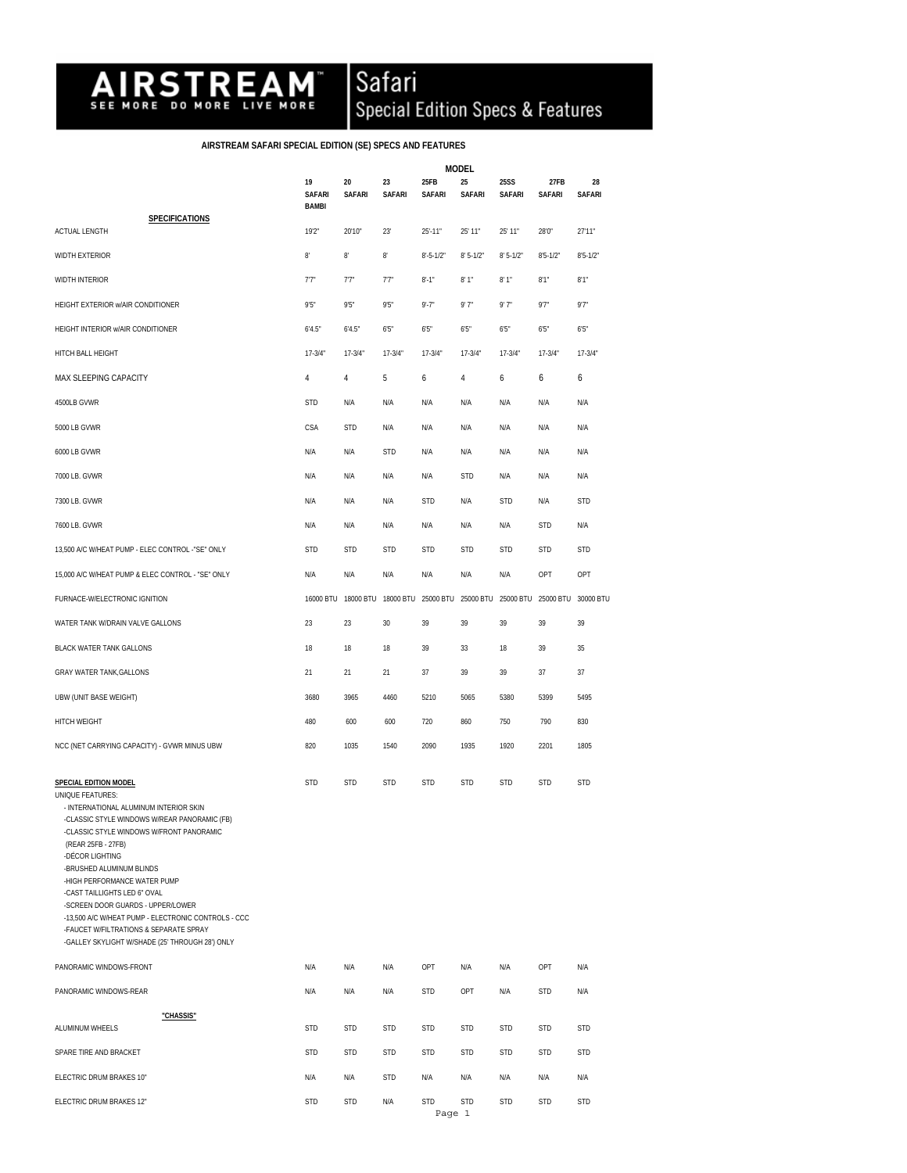# Safari<br>Special Edition Specs & Features

# **AIRSTREAM SAFARI SPECIAL EDITION (SE) SPECS AND FEATURES**

Airstream, Inc.

|                                                                                                                                                                                                                                                                                                                                                                                                                                                                                                                      |                                     |                                                                                 |                     |                      | MODEL               |                       |                       |                     |
|----------------------------------------------------------------------------------------------------------------------------------------------------------------------------------------------------------------------------------------------------------------------------------------------------------------------------------------------------------------------------------------------------------------------------------------------------------------------------------------------------------------------|-------------------------------------|---------------------------------------------------------------------------------|---------------------|----------------------|---------------------|-----------------------|-----------------------|---------------------|
|                                                                                                                                                                                                                                                                                                                                                                                                                                                                                                                      | 19<br><b>SAFARI</b><br><b>BAMBI</b> | 20<br><b>SAFARI</b>                                                             | 23<br><b>SAFARI</b> | 25FB<br>SAFARI       | 25<br><b>SAFARI</b> | 25SS<br><b>SAFARI</b> | 27FB<br><b>SAFARI</b> | 28<br><b>SAFARI</b> |
| <b>SPECIFICATIONS</b><br>ACTUAL LENGTH                                                                                                                                                                                                                                                                                                                                                                                                                                                                               | 19'2"                               | 20'10"                                                                          | 23'                 | $25' - 11"$          | 25' 11"             | 25' 11"               | 28'0"                 | 27'11"              |
| WIDTH EXTERIOR                                                                                                                                                                                                                                                                                                                                                                                                                                                                                                       | 8                                   | 8'                                                                              | $8^\circ$           | $8 - 5 - 1/2"$       | $8'5 - 1/2"$        | $8'5-1/2"$            | $8'5 - 1/2"$          | $8'5 - 1/2"$        |
| WIDTH INTERIOR                                                                                                                                                                                                                                                                                                                                                                                                                                                                                                       | 77"                                 | 7.7"                                                                            | 77"                 | $8 - 1"$             | 8'1"                | 8'1"                  | 8'1''                 | 8'1"                |
| HEIGHT EXTERIOR w/AIR CONDITIONER                                                                                                                                                                                                                                                                                                                                                                                                                                                                                    | 9'5''                               | 9.5"                                                                            | 9.5"                | 9'.7''               | 9'7"                | 9'7"                  | 9'7"                  | 9'7''               |
| HEIGHT INTERIOR w/AIR CONDITIONER                                                                                                                                                                                                                                                                                                                                                                                                                                                                                    | 6'4.5"                              | 6'4.5"                                                                          | 6'5"                | 6'5"                 | 6'5"                | 6'5"                  | 6'5"                  | 6'5"                |
| HITCH BALL HEIGHT                                                                                                                                                                                                                                                                                                                                                                                                                                                                                                    | $17 - 3/4$ <sup>*</sup>             | $17 - 3/4$ <sup>*</sup>                                                         | $17-3/4"$           | $17 - 3/4"$          | $17-3/4"$           | $17 - 3/4"$           | $17 - 3/4"$           | $17 - 3/4$          |
| MAX SLEEPING CAPACITY                                                                                                                                                                                                                                                                                                                                                                                                                                                                                                | 4                                   | 4                                                                               | 5                   | 6                    | 4                   | 6                     | 6                     | 6                   |
| 4500LB GVWR                                                                                                                                                                                                                                                                                                                                                                                                                                                                                                          | <b>STD</b>                          | N/A                                                                             | N/A                 | N/A                  | N/A                 | N/A                   | N/A                   | N/A                 |
| 5000 LB GVWR                                                                                                                                                                                                                                                                                                                                                                                                                                                                                                         | CSA                                 | <b>STD</b>                                                                      | N/A                 | N/A                  | N/A                 | N/A                   | N/A                   | N/A                 |
| 6000 LB GVWR                                                                                                                                                                                                                                                                                                                                                                                                                                                                                                         | N/A                                 | N/A                                                                             | <b>STD</b>          | N/A                  | N/A                 | N/A                   | N/A                   | N/A                 |
| 7000 LB. GVWR                                                                                                                                                                                                                                                                                                                                                                                                                                                                                                        | N/A                                 | N/A                                                                             | N/A                 | N/A                  | <b>STD</b>          | N/A                   | N/A                   | N/A                 |
| 7300 LB. GVWR                                                                                                                                                                                                                                                                                                                                                                                                                                                                                                        | N/A                                 | N/A                                                                             | N/A                 | <b>STD</b>           | N/A                 | <b>STD</b>            | N/A                   | <b>STD</b>          |
| 7600 LB. GVWR                                                                                                                                                                                                                                                                                                                                                                                                                                                                                                        | N/A                                 | N/A                                                                             | N/A                 | N/A                  | N/A                 | N/A                   | <b>STD</b>            | N/A                 |
| 13.500 A/C W/HEAT PUMP - ELEC CONTROL -"SE" ONLY                                                                                                                                                                                                                                                                                                                                                                                                                                                                     | <b>STD</b>                          | <b>STD</b>                                                                      | <b>STD</b>          | <b>STD</b>           | <b>STD</b>          | <b>STD</b>            | <b>STD</b>            | <b>STD</b>          |
| 15,000 A/C W/HEAT PUMP & ELEC CONTROL - "SE" ONLY                                                                                                                                                                                                                                                                                                                                                                                                                                                                    | N/A                                 | N/A                                                                             | N/A                 | N/A                  | N/A                 | N/A                   | OPT                   | OPT                 |
| FURNACE-W/ELECTRONIC IGNITION                                                                                                                                                                                                                                                                                                                                                                                                                                                                                        |                                     | 16000 BTU 18000 BTU 18000 BTU 25000 BTU 25000 BTU 25000 BTU 25000 BTU 30000 BTU |                     |                      |                     |                       |                       |                     |
| WATER TANK W/DRAIN VALVE GALLONS                                                                                                                                                                                                                                                                                                                                                                                                                                                                                     | 23                                  | 23                                                                              | 30                  | 39                   | 39                  | 39                    | 39                    | 39                  |
| <b>BLACK WATER TANK GALLONS</b>                                                                                                                                                                                                                                                                                                                                                                                                                                                                                      | 18                                  | 18                                                                              | 18                  | 39                   | 33                  | 18                    | 39                    | 35                  |
| GRAY WATER TANK, GALLONS                                                                                                                                                                                                                                                                                                                                                                                                                                                                                             | 21                                  | 21                                                                              | 21                  | 37                   | 39                  | 39                    | 37                    | 37                  |
| UBW (UNIT BASE WEIGHT)                                                                                                                                                                                                                                                                                                                                                                                                                                                                                               | 3680                                | 3965                                                                            | 4460                | 5210                 | 5065                | 5380                  | 5399                  | 5495                |
| HITCH WEIGHT                                                                                                                                                                                                                                                                                                                                                                                                                                                                                                         | 480                                 | 600                                                                             | 600                 | 720                  | 860                 | 750                   | 790                   | 830                 |
| NCC (NET CARRYING CAPACITY) - GVWR MINUS UBW                                                                                                                                                                                                                                                                                                                                                                                                                                                                         | 820                                 | 1035                                                                            | 1540                | 2090                 | 1935                | 1920                  | 2201                  | 1805                |
| SPECIAL EDITION MODEL<br><b>UNIQUE FEATURES:</b><br>- INTERNATIONAL ALUMINUM INTERIOR SKIN<br>-CLASSIC STYLE WINDOWS W/REAR PANORAMIC (FB)<br>-CLASSIC STYLE WINDOWS W/FRONT PANORAMIC<br>(REAR 25FB - 27FB)<br>-DÉCOR LIGHTING<br>-BRUSHED ALUMINUM BLINDS<br>-HIGH PERFORMANCE WATER PUMP<br>-CAST TAILLIGHTS LED 6" OVAL<br>-SCREEN DOOR GUARDS - UPPER/LOWER<br>-13,500 A/C W/HEAT PUMP - ELECTRONIC CONTROLS - CCC<br>-FAUCET W/FILTRATIONS & SEPARATE SPRAY<br>-GALLEY SKYLIGHT W/SHADE (25' THROUGH 28') ONLY | <b>STD</b>                          | <b>STD</b>                                                                      | <b>STD</b>          | <b>STD</b>           | <b>STD</b>          | <b>STD</b>            | <b>STD</b>            | <b>STD</b>          |
| PANORAMIC WINDOWS-FRONT                                                                                                                                                                                                                                                                                                                                                                                                                                                                                              | N/A                                 | N/A                                                                             | N/A                 | OPT                  | N/A                 | N/A                   | OPT                   | N/A                 |
| PANORAMIC WINDOWS-REAR                                                                                                                                                                                                                                                                                                                                                                                                                                                                                               | N/A                                 | N/A                                                                             | N/A                 | <b>STD</b>           | OPT                 | N/A                   | <b>STD</b>            | N/A                 |
| "CHASSIS"<br>ALUMINUM WHEELS                                                                                                                                                                                                                                                                                                                                                                                                                                                                                         | <b>STD</b>                          | <b>STD</b>                                                                      | <b>STD</b>          | <b>STD</b>           | <b>STD</b>          | <b>STD</b>            | <b>STD</b>            | <b>STD</b>          |
| SPARE TIRE AND BRACKET                                                                                                                                                                                                                                                                                                                                                                                                                                                                                               | <b>STD</b>                          | <b>STD</b>                                                                      | <b>STD</b>          | <b>STD</b>           | <b>STD</b>          | <b>STD</b>            | <b>STD</b>            | <b>STD</b>          |
| ELECTRIC DRUM BRAKES 10"                                                                                                                                                                                                                                                                                                                                                                                                                                                                                             | N/A                                 | N/A                                                                             | <b>STD</b>          | N/A                  | N/A                 | N/A                   | N/A                   | N/A                 |
| ELECTRIC DRUM BRAKES 12"                                                                                                                                                                                                                                                                                                                                                                                                                                                                                             | <b>STD</b>                          | <b>STD</b>                                                                      | N/A                 | <b>STD</b><br>Page 1 | <b>STD</b>          | <b>STD</b>            | STD                   | <b>STD</b>          |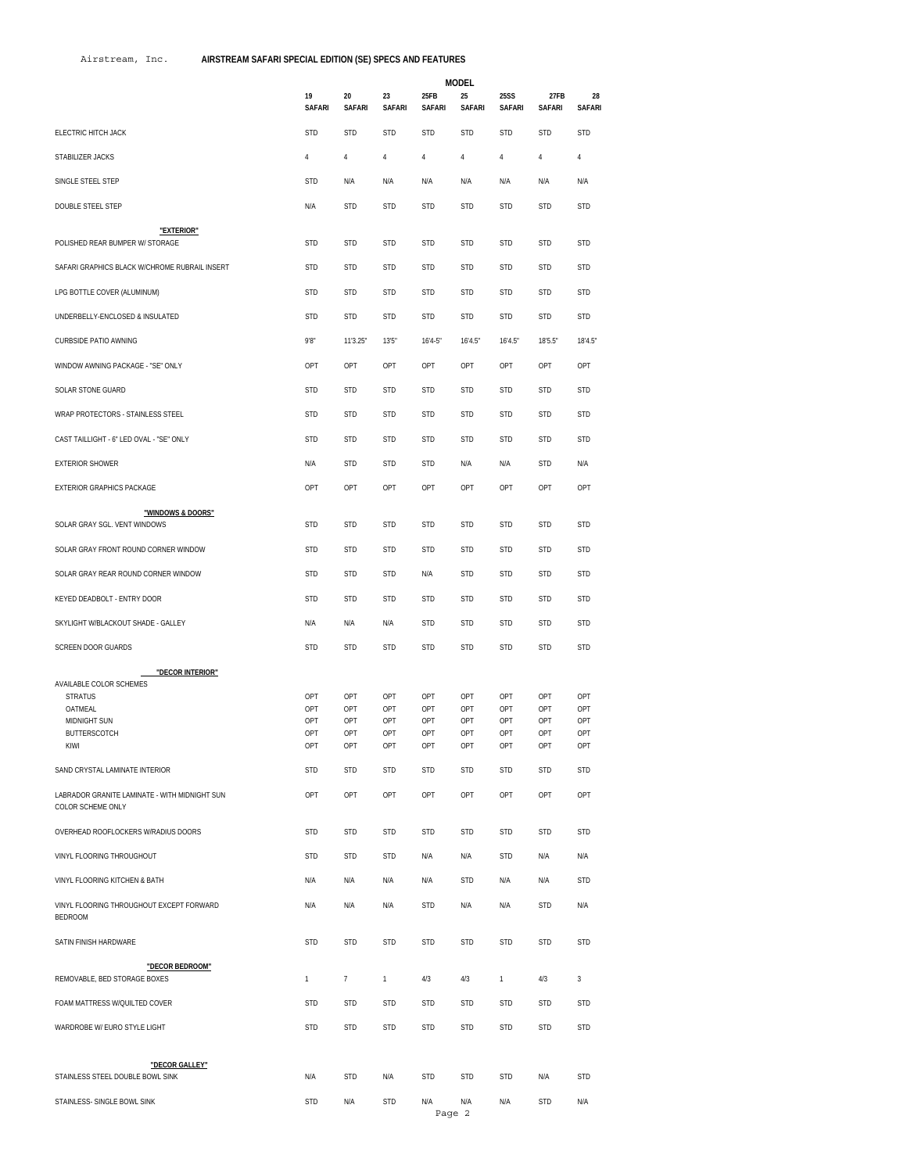## Airstream, Inc. **AIRSTREAM SAFARI SPECIAL EDITION (SE) SPECS AND FEATURES**

| 19<br>20<br>23<br>25FB<br>25<br><b>25SS</b><br>27FB<br><b>SAFARI</b><br><b>SAFARI</b><br>SAFARI<br>SAFARI<br>SAFARI<br>SAFARI<br><b>SAFARI</b><br>ELECTRIC HITCH JACK<br><b>STD</b><br><b>STD</b><br><b>STD</b><br><b>STD</b><br><b>STD</b><br><b>STD</b><br><b>STD</b><br>STABILIZER JACKS<br>4<br>4<br>4<br>$\overline{4}$<br>4<br>$\overline{4}$<br>4<br>4<br>SINGLE STEEL STEP<br><b>STD</b><br>N/A<br>N/A<br>N/A<br>N/A<br>N/A<br>N/A<br>N/A<br>DOUBLE STEEL STEP<br><b>STD</b><br><b>STD</b><br><b>STD</b><br><b>STD</b><br><b>STD</b><br><b>STD</b><br>N/A<br><b>STD</b><br>"EXTERIOR"<br>POLISHED REAR BUMPER W/ STORAGE<br><b>STD</b><br><b>STD</b><br><b>STD</b><br><b>STD</b><br><b>STD</b><br><b>STD</b><br><b>STD</b><br>SAFARI GRAPHICS BLACK W/CHROME RUBRAIL INSERT<br><b>STD</b><br><b>STD</b><br><b>STD</b><br><b>STD</b><br><b>STD</b><br><b>STD</b><br><b>STD</b><br>LPG BOTTLE COVER (ALUMINUM)<br><b>STD</b><br><b>STD</b><br><b>STD</b><br><b>STD</b><br><b>STD</b><br><b>STD</b><br><b>STD</b><br>UNDERBELLY-ENCLOSED & INSULATED<br><b>STD</b><br><b>STD</b><br><b>STD</b><br><b>STD</b><br><b>STD</b><br><b>STD</b><br><b>STD</b><br>CURBSIDE PATIO AWNING<br>9'8"<br>11'3.25"<br>13'5''<br>$16'4-5"$<br>16'4.5"<br>16'4.5"<br>18'5.5"<br>WINDOW AWNING PACKAGE - "SE" ONLY<br>OPT<br>OPT<br>OPT<br>OPT<br>OPT<br>OPT<br>OPT<br>SOLAR STONE GUARD<br><b>STD</b><br><b>STD</b><br><b>STD</b><br><b>STD</b><br><b>STD</b><br><b>STD</b><br><b>STD</b><br>WRAP PROTECTORS - STAINLESS STEEL<br><b>STD</b><br><b>STD</b><br><b>STD</b><br><b>STD</b><br><b>STD</b><br><b>STD</b><br><b>STD</b><br>CAST TAILLIGHT - 6" LED OVAL - "SE" ONLY<br><b>STD</b><br><b>STD</b><br><b>STD</b><br><b>STD</b><br><b>STD</b><br><b>STD</b><br><b>STD</b><br><b>EXTERIOR SHOWER</b><br><b>STD</b><br><b>STD</b><br><b>STD</b><br>N/A<br><b>STD</b><br>N/A<br>N/A<br>N/A<br>EXTERIOR GRAPHICS PACKAGE<br>OPT<br>OPT<br>OPT<br>OPT<br>OPT<br>OPT<br>OPT<br>OPT<br>"WINDOWS & DOORS"<br>SOLAR GRAY SGL. VENT WINDOWS<br><b>STD</b><br><b>STD</b><br><b>STD</b><br><b>STD</b><br><b>STD</b><br><b>STD</b><br><b>STD</b><br>SOLAR GRAY FRONT ROUND CORNER WINDOW<br><b>STD</b><br><b>STD</b><br><b>STD</b><br><b>STD</b><br><b>STD</b><br><b>STD</b><br><b>STD</b><br>SOLAR GRAY REAR ROUND CORNER WINDOW<br><b>STD</b><br><b>STD</b><br><b>STD</b><br><b>STD</b><br>N/A<br><b>STD</b><br><b>STD</b><br>KEYED DEADBOLT - ENTRY DOOR<br><b>STD</b><br><b>STD</b><br><b>STD</b><br><b>STD</b><br><b>STD</b><br><b>STD</b><br><b>STD</b><br>SKYLIGHT W/BLACKOUT SHADE - GALLEY<br>N/A<br>N/A<br>N/A<br><b>STD</b><br><b>STD</b><br><b>STD</b><br><b>STD</b><br><b>SCREEN DOOR GUARDS</b><br><b>STD</b><br><b>STD</b><br><b>STD</b><br><b>STD</b><br><b>STD</b><br><b>STD</b><br><b>STD</b><br>"DECOR INTERIOR"<br>AVAILABLE COLOR SCHEMES<br><b>STRATUS</b><br>OPT<br>OPT<br>OPT<br>OPT<br>OPT<br>OPT<br>OPT<br>OPT<br>OATMEAL<br>OPT<br>OPT<br>OPT<br>OPT<br>OPT<br>OPT<br>OPT<br>OPT<br>OPT<br>OPT<br>OPT<br>MIDNIGHT SUN<br>OPT<br>OPT<br>OPT<br>OPT<br>OPT<br><b>BUTTERSCOTCH</b><br>OPT<br>OPT<br>OPT<br>OPT<br>OPT<br>OPT<br>OPT<br>OPT<br>OPT<br>OPT<br>OPT<br>OPT<br>OPT<br>KIWI<br>SAND CRYSTAL LAMINATE INTERIOR<br><b>STD</b><br><b>STD</b><br><b>STD</b><br><b>STD</b><br><b>STD</b><br><b>STD</b><br><b>STD</b><br>LABRADOR GRANITE LAMINATE - WITH MIDNIGHT SUN<br>OPT<br>OPT<br>OPT<br>OPT<br>OPT<br>OPT<br>OPT<br>COLOR SCHEME ONLY<br>OVERHEAD ROOFLOCKERS W/RADIUS DOORS<br><b>STD</b><br><b>STD</b><br><b>STD</b><br><b>STD</b><br><b>STD</b><br><b>STD</b><br><b>STD</b><br>VINYL FLOORING THROUGHOUT<br><b>STD</b><br><b>STD</b><br><b>STD</b><br>N/A<br>N/A<br><b>STD</b><br>N/A<br>N/A<br>VINYL FLOORING KITCHEN & BATH<br>N/A<br>N/A<br>N/A<br><b>STD</b><br>N/A<br>N/A<br>N/A<br>VINYL FLOORING THROUGHOUT EXCEPT FORWARD<br>N/A<br>N/A<br>N/A<br><b>STD</b><br>N/A<br>N/A<br><b>STD</b><br>N/A<br><b>BEDROOM</b><br>SATIN FINISH HARDWARE<br><b>STD</b><br><b>STD</b><br><b>STD</b><br><b>STD</b><br><b>STD</b><br><b>STD</b><br><b>STD</b><br>"DECOR BEDROOM"<br>1<br>$\overline{7}$<br>$\mathbf{1}$<br>4/3<br>4/3<br>4/3<br>REMOVABLE, BED STORAGE BOXES<br>$\mathbf{1}$<br>3<br>FOAM MATTRESS W/QUILTED COVER<br><b>STD</b><br><b>STD</b><br><b>STD</b><br><b>STD</b><br><b>STD</b><br><b>STD</b><br><b>STD</b><br>WARDROBE W/ EURO STYLE LIGHT<br><b>STD</b><br><b>STD</b><br><b>STD</b><br><b>STD</b><br><b>STD</b><br><b>STD</b><br><b>STD</b> |                |  |  | <b>MODEL</b> |  |  |                     |
|---------------------------------------------------------------------------------------------------------------------------------------------------------------------------------------------------------------------------------------------------------------------------------------------------------------------------------------------------------------------------------------------------------------------------------------------------------------------------------------------------------------------------------------------------------------------------------------------------------------------------------------------------------------------------------------------------------------------------------------------------------------------------------------------------------------------------------------------------------------------------------------------------------------------------------------------------------------------------------------------------------------------------------------------------------------------------------------------------------------------------------------------------------------------------------------------------------------------------------------------------------------------------------------------------------------------------------------------------------------------------------------------------------------------------------------------------------------------------------------------------------------------------------------------------------------------------------------------------------------------------------------------------------------------------------------------------------------------------------------------------------------------------------------------------------------------------------------------------------------------------------------------------------------------------------------------------------------------------------------------------------------------------------------------------------------------------------------------------------------------------------------------------------------------------------------------------------------------------------------------------------------------------------------------------------------------------------------------------------------------------------------------------------------------------------------------------------------------------------------------------------------------------------------------------------------------------------------------------------------------------------------------------------------------------------------------------------------------------------------------------------------------------------------------------------------------------------------------------------------------------------------------------------------------------------------------------------------------------------------------------------------------------------------------------------------------------------------------------------------------------------------------------------------------------------------------------------------------------------------------------------------------------------------------------------------------------------------------------------------------------------------------------------------------------------------------------------------------------------------------------------------------------------------------------------------------------------------------------------------------------------------------------------------------------------------------------------------------------------------------------------------------------------------------------------------------------------------------------------------------------------------------------------------------------------------------------------------------------------------------------------------------------------------------------------------------------------------------------------------------------------------------------------------------------------------------------------------------------------------------------------------------------------------------------------------------------------------------------------------------------------------------------------------------------------------------------------------------------------|----------------|--|--|--------------|--|--|---------------------|
|                                                                                                                                                                                                                                                                                                                                                                                                                                                                                                                                                                                                                                                                                                                                                                                                                                                                                                                                                                                                                                                                                                                                                                                                                                                                                                                                                                                                                                                                                                                                                                                                                                                                                                                                                                                                                                                                                                                                                                                                                                                                                                                                                                                                                                                                                                                                                                                                                                                                                                                                                                                                                                                                                                                                                                                                                                                                                                                                                                                                                                                                                                                                                                                                                                                                                                                                                                                                                                                                                                                                                                                                                                                                                                                                                                                                                                                                                                                                                                                                                                                                                                                                                                                                                                                                                                                                                                                                                                                                                 |                |  |  |              |  |  | 28<br><b>SAFARI</b> |
|                                                                                                                                                                                                                                                                                                                                                                                                                                                                                                                                                                                                                                                                                                                                                                                                                                                                                                                                                                                                                                                                                                                                                                                                                                                                                                                                                                                                                                                                                                                                                                                                                                                                                                                                                                                                                                                                                                                                                                                                                                                                                                                                                                                                                                                                                                                                                                                                                                                                                                                                                                                                                                                                                                                                                                                                                                                                                                                                                                                                                                                                                                                                                                                                                                                                                                                                                                                                                                                                                                                                                                                                                                                                                                                                                                                                                                                                                                                                                                                                                                                                                                                                                                                                                                                                                                                                                                                                                                                                                 |                |  |  |              |  |  | <b>STD</b>          |
|                                                                                                                                                                                                                                                                                                                                                                                                                                                                                                                                                                                                                                                                                                                                                                                                                                                                                                                                                                                                                                                                                                                                                                                                                                                                                                                                                                                                                                                                                                                                                                                                                                                                                                                                                                                                                                                                                                                                                                                                                                                                                                                                                                                                                                                                                                                                                                                                                                                                                                                                                                                                                                                                                                                                                                                                                                                                                                                                                                                                                                                                                                                                                                                                                                                                                                                                                                                                                                                                                                                                                                                                                                                                                                                                                                                                                                                                                                                                                                                                                                                                                                                                                                                                                                                                                                                                                                                                                                                                                 |                |  |  |              |  |  |                     |
|                                                                                                                                                                                                                                                                                                                                                                                                                                                                                                                                                                                                                                                                                                                                                                                                                                                                                                                                                                                                                                                                                                                                                                                                                                                                                                                                                                                                                                                                                                                                                                                                                                                                                                                                                                                                                                                                                                                                                                                                                                                                                                                                                                                                                                                                                                                                                                                                                                                                                                                                                                                                                                                                                                                                                                                                                                                                                                                                                                                                                                                                                                                                                                                                                                                                                                                                                                                                                                                                                                                                                                                                                                                                                                                                                                                                                                                                                                                                                                                                                                                                                                                                                                                                                                                                                                                                                                                                                                                                                 |                |  |  |              |  |  |                     |
|                                                                                                                                                                                                                                                                                                                                                                                                                                                                                                                                                                                                                                                                                                                                                                                                                                                                                                                                                                                                                                                                                                                                                                                                                                                                                                                                                                                                                                                                                                                                                                                                                                                                                                                                                                                                                                                                                                                                                                                                                                                                                                                                                                                                                                                                                                                                                                                                                                                                                                                                                                                                                                                                                                                                                                                                                                                                                                                                                                                                                                                                                                                                                                                                                                                                                                                                                                                                                                                                                                                                                                                                                                                                                                                                                                                                                                                                                                                                                                                                                                                                                                                                                                                                                                                                                                                                                                                                                                                                                 |                |  |  |              |  |  |                     |
|                                                                                                                                                                                                                                                                                                                                                                                                                                                                                                                                                                                                                                                                                                                                                                                                                                                                                                                                                                                                                                                                                                                                                                                                                                                                                                                                                                                                                                                                                                                                                                                                                                                                                                                                                                                                                                                                                                                                                                                                                                                                                                                                                                                                                                                                                                                                                                                                                                                                                                                                                                                                                                                                                                                                                                                                                                                                                                                                                                                                                                                                                                                                                                                                                                                                                                                                                                                                                                                                                                                                                                                                                                                                                                                                                                                                                                                                                                                                                                                                                                                                                                                                                                                                                                                                                                                                                                                                                                                                                 |                |  |  |              |  |  | <b>STD</b>          |
|                                                                                                                                                                                                                                                                                                                                                                                                                                                                                                                                                                                                                                                                                                                                                                                                                                                                                                                                                                                                                                                                                                                                                                                                                                                                                                                                                                                                                                                                                                                                                                                                                                                                                                                                                                                                                                                                                                                                                                                                                                                                                                                                                                                                                                                                                                                                                                                                                                                                                                                                                                                                                                                                                                                                                                                                                                                                                                                                                                                                                                                                                                                                                                                                                                                                                                                                                                                                                                                                                                                                                                                                                                                                                                                                                                                                                                                                                                                                                                                                                                                                                                                                                                                                                                                                                                                                                                                                                                                                                 |                |  |  |              |  |  | <b>STD</b>          |
|                                                                                                                                                                                                                                                                                                                                                                                                                                                                                                                                                                                                                                                                                                                                                                                                                                                                                                                                                                                                                                                                                                                                                                                                                                                                                                                                                                                                                                                                                                                                                                                                                                                                                                                                                                                                                                                                                                                                                                                                                                                                                                                                                                                                                                                                                                                                                                                                                                                                                                                                                                                                                                                                                                                                                                                                                                                                                                                                                                                                                                                                                                                                                                                                                                                                                                                                                                                                                                                                                                                                                                                                                                                                                                                                                                                                                                                                                                                                                                                                                                                                                                                                                                                                                                                                                                                                                                                                                                                                                 |                |  |  |              |  |  | <b>STD</b>          |
|                                                                                                                                                                                                                                                                                                                                                                                                                                                                                                                                                                                                                                                                                                                                                                                                                                                                                                                                                                                                                                                                                                                                                                                                                                                                                                                                                                                                                                                                                                                                                                                                                                                                                                                                                                                                                                                                                                                                                                                                                                                                                                                                                                                                                                                                                                                                                                                                                                                                                                                                                                                                                                                                                                                                                                                                                                                                                                                                                                                                                                                                                                                                                                                                                                                                                                                                                                                                                                                                                                                                                                                                                                                                                                                                                                                                                                                                                                                                                                                                                                                                                                                                                                                                                                                                                                                                                                                                                                                                                 |                |  |  |              |  |  | <b>STD</b>          |
|                                                                                                                                                                                                                                                                                                                                                                                                                                                                                                                                                                                                                                                                                                                                                                                                                                                                                                                                                                                                                                                                                                                                                                                                                                                                                                                                                                                                                                                                                                                                                                                                                                                                                                                                                                                                                                                                                                                                                                                                                                                                                                                                                                                                                                                                                                                                                                                                                                                                                                                                                                                                                                                                                                                                                                                                                                                                                                                                                                                                                                                                                                                                                                                                                                                                                                                                                                                                                                                                                                                                                                                                                                                                                                                                                                                                                                                                                                                                                                                                                                                                                                                                                                                                                                                                                                                                                                                                                                                                                 |                |  |  |              |  |  | 18'4.5"             |
|                                                                                                                                                                                                                                                                                                                                                                                                                                                                                                                                                                                                                                                                                                                                                                                                                                                                                                                                                                                                                                                                                                                                                                                                                                                                                                                                                                                                                                                                                                                                                                                                                                                                                                                                                                                                                                                                                                                                                                                                                                                                                                                                                                                                                                                                                                                                                                                                                                                                                                                                                                                                                                                                                                                                                                                                                                                                                                                                                                                                                                                                                                                                                                                                                                                                                                                                                                                                                                                                                                                                                                                                                                                                                                                                                                                                                                                                                                                                                                                                                                                                                                                                                                                                                                                                                                                                                                                                                                                                                 |                |  |  |              |  |  | OPT                 |
|                                                                                                                                                                                                                                                                                                                                                                                                                                                                                                                                                                                                                                                                                                                                                                                                                                                                                                                                                                                                                                                                                                                                                                                                                                                                                                                                                                                                                                                                                                                                                                                                                                                                                                                                                                                                                                                                                                                                                                                                                                                                                                                                                                                                                                                                                                                                                                                                                                                                                                                                                                                                                                                                                                                                                                                                                                                                                                                                                                                                                                                                                                                                                                                                                                                                                                                                                                                                                                                                                                                                                                                                                                                                                                                                                                                                                                                                                                                                                                                                                                                                                                                                                                                                                                                                                                                                                                                                                                                                                 |                |  |  |              |  |  | <b>STD</b>          |
|                                                                                                                                                                                                                                                                                                                                                                                                                                                                                                                                                                                                                                                                                                                                                                                                                                                                                                                                                                                                                                                                                                                                                                                                                                                                                                                                                                                                                                                                                                                                                                                                                                                                                                                                                                                                                                                                                                                                                                                                                                                                                                                                                                                                                                                                                                                                                                                                                                                                                                                                                                                                                                                                                                                                                                                                                                                                                                                                                                                                                                                                                                                                                                                                                                                                                                                                                                                                                                                                                                                                                                                                                                                                                                                                                                                                                                                                                                                                                                                                                                                                                                                                                                                                                                                                                                                                                                                                                                                                                 |                |  |  |              |  |  | <b>STD</b>          |
|                                                                                                                                                                                                                                                                                                                                                                                                                                                                                                                                                                                                                                                                                                                                                                                                                                                                                                                                                                                                                                                                                                                                                                                                                                                                                                                                                                                                                                                                                                                                                                                                                                                                                                                                                                                                                                                                                                                                                                                                                                                                                                                                                                                                                                                                                                                                                                                                                                                                                                                                                                                                                                                                                                                                                                                                                                                                                                                                                                                                                                                                                                                                                                                                                                                                                                                                                                                                                                                                                                                                                                                                                                                                                                                                                                                                                                                                                                                                                                                                                                                                                                                                                                                                                                                                                                                                                                                                                                                                                 |                |  |  |              |  |  | <b>STD</b>          |
|                                                                                                                                                                                                                                                                                                                                                                                                                                                                                                                                                                                                                                                                                                                                                                                                                                                                                                                                                                                                                                                                                                                                                                                                                                                                                                                                                                                                                                                                                                                                                                                                                                                                                                                                                                                                                                                                                                                                                                                                                                                                                                                                                                                                                                                                                                                                                                                                                                                                                                                                                                                                                                                                                                                                                                                                                                                                                                                                                                                                                                                                                                                                                                                                                                                                                                                                                                                                                                                                                                                                                                                                                                                                                                                                                                                                                                                                                                                                                                                                                                                                                                                                                                                                                                                                                                                                                                                                                                                                                 |                |  |  |              |  |  |                     |
|                                                                                                                                                                                                                                                                                                                                                                                                                                                                                                                                                                                                                                                                                                                                                                                                                                                                                                                                                                                                                                                                                                                                                                                                                                                                                                                                                                                                                                                                                                                                                                                                                                                                                                                                                                                                                                                                                                                                                                                                                                                                                                                                                                                                                                                                                                                                                                                                                                                                                                                                                                                                                                                                                                                                                                                                                                                                                                                                                                                                                                                                                                                                                                                                                                                                                                                                                                                                                                                                                                                                                                                                                                                                                                                                                                                                                                                                                                                                                                                                                                                                                                                                                                                                                                                                                                                                                                                                                                                                                 |                |  |  |              |  |  |                     |
|                                                                                                                                                                                                                                                                                                                                                                                                                                                                                                                                                                                                                                                                                                                                                                                                                                                                                                                                                                                                                                                                                                                                                                                                                                                                                                                                                                                                                                                                                                                                                                                                                                                                                                                                                                                                                                                                                                                                                                                                                                                                                                                                                                                                                                                                                                                                                                                                                                                                                                                                                                                                                                                                                                                                                                                                                                                                                                                                                                                                                                                                                                                                                                                                                                                                                                                                                                                                                                                                                                                                                                                                                                                                                                                                                                                                                                                                                                                                                                                                                                                                                                                                                                                                                                                                                                                                                                                                                                                                                 |                |  |  |              |  |  |                     |
|                                                                                                                                                                                                                                                                                                                                                                                                                                                                                                                                                                                                                                                                                                                                                                                                                                                                                                                                                                                                                                                                                                                                                                                                                                                                                                                                                                                                                                                                                                                                                                                                                                                                                                                                                                                                                                                                                                                                                                                                                                                                                                                                                                                                                                                                                                                                                                                                                                                                                                                                                                                                                                                                                                                                                                                                                                                                                                                                                                                                                                                                                                                                                                                                                                                                                                                                                                                                                                                                                                                                                                                                                                                                                                                                                                                                                                                                                                                                                                                                                                                                                                                                                                                                                                                                                                                                                                                                                                                                                 |                |  |  |              |  |  | <b>STD</b>          |
|                                                                                                                                                                                                                                                                                                                                                                                                                                                                                                                                                                                                                                                                                                                                                                                                                                                                                                                                                                                                                                                                                                                                                                                                                                                                                                                                                                                                                                                                                                                                                                                                                                                                                                                                                                                                                                                                                                                                                                                                                                                                                                                                                                                                                                                                                                                                                                                                                                                                                                                                                                                                                                                                                                                                                                                                                                                                                                                                                                                                                                                                                                                                                                                                                                                                                                                                                                                                                                                                                                                                                                                                                                                                                                                                                                                                                                                                                                                                                                                                                                                                                                                                                                                                                                                                                                                                                                                                                                                                                 |                |  |  |              |  |  | <b>STD</b>          |
|                                                                                                                                                                                                                                                                                                                                                                                                                                                                                                                                                                                                                                                                                                                                                                                                                                                                                                                                                                                                                                                                                                                                                                                                                                                                                                                                                                                                                                                                                                                                                                                                                                                                                                                                                                                                                                                                                                                                                                                                                                                                                                                                                                                                                                                                                                                                                                                                                                                                                                                                                                                                                                                                                                                                                                                                                                                                                                                                                                                                                                                                                                                                                                                                                                                                                                                                                                                                                                                                                                                                                                                                                                                                                                                                                                                                                                                                                                                                                                                                                                                                                                                                                                                                                                                                                                                                                                                                                                                                                 |                |  |  |              |  |  | <b>STD</b>          |
|                                                                                                                                                                                                                                                                                                                                                                                                                                                                                                                                                                                                                                                                                                                                                                                                                                                                                                                                                                                                                                                                                                                                                                                                                                                                                                                                                                                                                                                                                                                                                                                                                                                                                                                                                                                                                                                                                                                                                                                                                                                                                                                                                                                                                                                                                                                                                                                                                                                                                                                                                                                                                                                                                                                                                                                                                                                                                                                                                                                                                                                                                                                                                                                                                                                                                                                                                                                                                                                                                                                                                                                                                                                                                                                                                                                                                                                                                                                                                                                                                                                                                                                                                                                                                                                                                                                                                                                                                                                                                 |                |  |  |              |  |  | <b>STD</b>          |
|                                                                                                                                                                                                                                                                                                                                                                                                                                                                                                                                                                                                                                                                                                                                                                                                                                                                                                                                                                                                                                                                                                                                                                                                                                                                                                                                                                                                                                                                                                                                                                                                                                                                                                                                                                                                                                                                                                                                                                                                                                                                                                                                                                                                                                                                                                                                                                                                                                                                                                                                                                                                                                                                                                                                                                                                                                                                                                                                                                                                                                                                                                                                                                                                                                                                                                                                                                                                                                                                                                                                                                                                                                                                                                                                                                                                                                                                                                                                                                                                                                                                                                                                                                                                                                                                                                                                                                                                                                                                                 |                |  |  |              |  |  | <b>STD</b>          |
|                                                                                                                                                                                                                                                                                                                                                                                                                                                                                                                                                                                                                                                                                                                                                                                                                                                                                                                                                                                                                                                                                                                                                                                                                                                                                                                                                                                                                                                                                                                                                                                                                                                                                                                                                                                                                                                                                                                                                                                                                                                                                                                                                                                                                                                                                                                                                                                                                                                                                                                                                                                                                                                                                                                                                                                                                                                                                                                                                                                                                                                                                                                                                                                                                                                                                                                                                                                                                                                                                                                                                                                                                                                                                                                                                                                                                                                                                                                                                                                                                                                                                                                                                                                                                                                                                                                                                                                                                                                                                 |                |  |  |              |  |  | <b>STD</b>          |
|                                                                                                                                                                                                                                                                                                                                                                                                                                                                                                                                                                                                                                                                                                                                                                                                                                                                                                                                                                                                                                                                                                                                                                                                                                                                                                                                                                                                                                                                                                                                                                                                                                                                                                                                                                                                                                                                                                                                                                                                                                                                                                                                                                                                                                                                                                                                                                                                                                                                                                                                                                                                                                                                                                                                                                                                                                                                                                                                                                                                                                                                                                                                                                                                                                                                                                                                                                                                                                                                                                                                                                                                                                                                                                                                                                                                                                                                                                                                                                                                                                                                                                                                                                                                                                                                                                                                                                                                                                                                                 |                |  |  |              |  |  |                     |
|                                                                                                                                                                                                                                                                                                                                                                                                                                                                                                                                                                                                                                                                                                                                                                                                                                                                                                                                                                                                                                                                                                                                                                                                                                                                                                                                                                                                                                                                                                                                                                                                                                                                                                                                                                                                                                                                                                                                                                                                                                                                                                                                                                                                                                                                                                                                                                                                                                                                                                                                                                                                                                                                                                                                                                                                                                                                                                                                                                                                                                                                                                                                                                                                                                                                                                                                                                                                                                                                                                                                                                                                                                                                                                                                                                                                                                                                                                                                                                                                                                                                                                                                                                                                                                                                                                                                                                                                                                                                                 |                |  |  |              |  |  |                     |
|                                                                                                                                                                                                                                                                                                                                                                                                                                                                                                                                                                                                                                                                                                                                                                                                                                                                                                                                                                                                                                                                                                                                                                                                                                                                                                                                                                                                                                                                                                                                                                                                                                                                                                                                                                                                                                                                                                                                                                                                                                                                                                                                                                                                                                                                                                                                                                                                                                                                                                                                                                                                                                                                                                                                                                                                                                                                                                                                                                                                                                                                                                                                                                                                                                                                                                                                                                                                                                                                                                                                                                                                                                                                                                                                                                                                                                                                                                                                                                                                                                                                                                                                                                                                                                                                                                                                                                                                                                                                                 |                |  |  |              |  |  | OPT                 |
|                                                                                                                                                                                                                                                                                                                                                                                                                                                                                                                                                                                                                                                                                                                                                                                                                                                                                                                                                                                                                                                                                                                                                                                                                                                                                                                                                                                                                                                                                                                                                                                                                                                                                                                                                                                                                                                                                                                                                                                                                                                                                                                                                                                                                                                                                                                                                                                                                                                                                                                                                                                                                                                                                                                                                                                                                                                                                                                                                                                                                                                                                                                                                                                                                                                                                                                                                                                                                                                                                                                                                                                                                                                                                                                                                                                                                                                                                                                                                                                                                                                                                                                                                                                                                                                                                                                                                                                                                                                                                 |                |  |  |              |  |  | OPT                 |
|                                                                                                                                                                                                                                                                                                                                                                                                                                                                                                                                                                                                                                                                                                                                                                                                                                                                                                                                                                                                                                                                                                                                                                                                                                                                                                                                                                                                                                                                                                                                                                                                                                                                                                                                                                                                                                                                                                                                                                                                                                                                                                                                                                                                                                                                                                                                                                                                                                                                                                                                                                                                                                                                                                                                                                                                                                                                                                                                                                                                                                                                                                                                                                                                                                                                                                                                                                                                                                                                                                                                                                                                                                                                                                                                                                                                                                                                                                                                                                                                                                                                                                                                                                                                                                                                                                                                                                                                                                                                                 |                |  |  |              |  |  | OPT                 |
|                                                                                                                                                                                                                                                                                                                                                                                                                                                                                                                                                                                                                                                                                                                                                                                                                                                                                                                                                                                                                                                                                                                                                                                                                                                                                                                                                                                                                                                                                                                                                                                                                                                                                                                                                                                                                                                                                                                                                                                                                                                                                                                                                                                                                                                                                                                                                                                                                                                                                                                                                                                                                                                                                                                                                                                                                                                                                                                                                                                                                                                                                                                                                                                                                                                                                                                                                                                                                                                                                                                                                                                                                                                                                                                                                                                                                                                                                                                                                                                                                                                                                                                                                                                                                                                                                                                                                                                                                                                                                 |                |  |  |              |  |  |                     |
|                                                                                                                                                                                                                                                                                                                                                                                                                                                                                                                                                                                                                                                                                                                                                                                                                                                                                                                                                                                                                                                                                                                                                                                                                                                                                                                                                                                                                                                                                                                                                                                                                                                                                                                                                                                                                                                                                                                                                                                                                                                                                                                                                                                                                                                                                                                                                                                                                                                                                                                                                                                                                                                                                                                                                                                                                                                                                                                                                                                                                                                                                                                                                                                                                                                                                                                                                                                                                                                                                                                                                                                                                                                                                                                                                                                                                                                                                                                                                                                                                                                                                                                                                                                                                                                                                                                                                                                                                                                                                 |                |  |  |              |  |  | <b>STD</b>          |
|                                                                                                                                                                                                                                                                                                                                                                                                                                                                                                                                                                                                                                                                                                                                                                                                                                                                                                                                                                                                                                                                                                                                                                                                                                                                                                                                                                                                                                                                                                                                                                                                                                                                                                                                                                                                                                                                                                                                                                                                                                                                                                                                                                                                                                                                                                                                                                                                                                                                                                                                                                                                                                                                                                                                                                                                                                                                                                                                                                                                                                                                                                                                                                                                                                                                                                                                                                                                                                                                                                                                                                                                                                                                                                                                                                                                                                                                                                                                                                                                                                                                                                                                                                                                                                                                                                                                                                                                                                                                                 |                |  |  |              |  |  | OPT                 |
|                                                                                                                                                                                                                                                                                                                                                                                                                                                                                                                                                                                                                                                                                                                                                                                                                                                                                                                                                                                                                                                                                                                                                                                                                                                                                                                                                                                                                                                                                                                                                                                                                                                                                                                                                                                                                                                                                                                                                                                                                                                                                                                                                                                                                                                                                                                                                                                                                                                                                                                                                                                                                                                                                                                                                                                                                                                                                                                                                                                                                                                                                                                                                                                                                                                                                                                                                                                                                                                                                                                                                                                                                                                                                                                                                                                                                                                                                                                                                                                                                                                                                                                                                                                                                                                                                                                                                                                                                                                                                 |                |  |  |              |  |  | <b>STD</b>          |
|                                                                                                                                                                                                                                                                                                                                                                                                                                                                                                                                                                                                                                                                                                                                                                                                                                                                                                                                                                                                                                                                                                                                                                                                                                                                                                                                                                                                                                                                                                                                                                                                                                                                                                                                                                                                                                                                                                                                                                                                                                                                                                                                                                                                                                                                                                                                                                                                                                                                                                                                                                                                                                                                                                                                                                                                                                                                                                                                                                                                                                                                                                                                                                                                                                                                                                                                                                                                                                                                                                                                                                                                                                                                                                                                                                                                                                                                                                                                                                                                                                                                                                                                                                                                                                                                                                                                                                                                                                                                                 |                |  |  |              |  |  |                     |
|                                                                                                                                                                                                                                                                                                                                                                                                                                                                                                                                                                                                                                                                                                                                                                                                                                                                                                                                                                                                                                                                                                                                                                                                                                                                                                                                                                                                                                                                                                                                                                                                                                                                                                                                                                                                                                                                                                                                                                                                                                                                                                                                                                                                                                                                                                                                                                                                                                                                                                                                                                                                                                                                                                                                                                                                                                                                                                                                                                                                                                                                                                                                                                                                                                                                                                                                                                                                                                                                                                                                                                                                                                                                                                                                                                                                                                                                                                                                                                                                                                                                                                                                                                                                                                                                                                                                                                                                                                                                                 |                |  |  |              |  |  | <b>STD</b>          |
|                                                                                                                                                                                                                                                                                                                                                                                                                                                                                                                                                                                                                                                                                                                                                                                                                                                                                                                                                                                                                                                                                                                                                                                                                                                                                                                                                                                                                                                                                                                                                                                                                                                                                                                                                                                                                                                                                                                                                                                                                                                                                                                                                                                                                                                                                                                                                                                                                                                                                                                                                                                                                                                                                                                                                                                                                                                                                                                                                                                                                                                                                                                                                                                                                                                                                                                                                                                                                                                                                                                                                                                                                                                                                                                                                                                                                                                                                                                                                                                                                                                                                                                                                                                                                                                                                                                                                                                                                                                                                 |                |  |  |              |  |  |                     |
|                                                                                                                                                                                                                                                                                                                                                                                                                                                                                                                                                                                                                                                                                                                                                                                                                                                                                                                                                                                                                                                                                                                                                                                                                                                                                                                                                                                                                                                                                                                                                                                                                                                                                                                                                                                                                                                                                                                                                                                                                                                                                                                                                                                                                                                                                                                                                                                                                                                                                                                                                                                                                                                                                                                                                                                                                                                                                                                                                                                                                                                                                                                                                                                                                                                                                                                                                                                                                                                                                                                                                                                                                                                                                                                                                                                                                                                                                                                                                                                                                                                                                                                                                                                                                                                                                                                                                                                                                                                                                 |                |  |  |              |  |  | <b>STD</b>          |
|                                                                                                                                                                                                                                                                                                                                                                                                                                                                                                                                                                                                                                                                                                                                                                                                                                                                                                                                                                                                                                                                                                                                                                                                                                                                                                                                                                                                                                                                                                                                                                                                                                                                                                                                                                                                                                                                                                                                                                                                                                                                                                                                                                                                                                                                                                                                                                                                                                                                                                                                                                                                                                                                                                                                                                                                                                                                                                                                                                                                                                                                                                                                                                                                                                                                                                                                                                                                                                                                                                                                                                                                                                                                                                                                                                                                                                                                                                                                                                                                                                                                                                                                                                                                                                                                                                                                                                                                                                                                                 |                |  |  |              |  |  |                     |
|                                                                                                                                                                                                                                                                                                                                                                                                                                                                                                                                                                                                                                                                                                                                                                                                                                                                                                                                                                                                                                                                                                                                                                                                                                                                                                                                                                                                                                                                                                                                                                                                                                                                                                                                                                                                                                                                                                                                                                                                                                                                                                                                                                                                                                                                                                                                                                                                                                                                                                                                                                                                                                                                                                                                                                                                                                                                                                                                                                                                                                                                                                                                                                                                                                                                                                                                                                                                                                                                                                                                                                                                                                                                                                                                                                                                                                                                                                                                                                                                                                                                                                                                                                                                                                                                                                                                                                                                                                                                                 |                |  |  |              |  |  |                     |
|                                                                                                                                                                                                                                                                                                                                                                                                                                                                                                                                                                                                                                                                                                                                                                                                                                                                                                                                                                                                                                                                                                                                                                                                                                                                                                                                                                                                                                                                                                                                                                                                                                                                                                                                                                                                                                                                                                                                                                                                                                                                                                                                                                                                                                                                                                                                                                                                                                                                                                                                                                                                                                                                                                                                                                                                                                                                                                                                                                                                                                                                                                                                                                                                                                                                                                                                                                                                                                                                                                                                                                                                                                                                                                                                                                                                                                                                                                                                                                                                                                                                                                                                                                                                                                                                                                                                                                                                                                                                                 |                |  |  |              |  |  | <b>STD</b>          |
|                                                                                                                                                                                                                                                                                                                                                                                                                                                                                                                                                                                                                                                                                                                                                                                                                                                                                                                                                                                                                                                                                                                                                                                                                                                                                                                                                                                                                                                                                                                                                                                                                                                                                                                                                                                                                                                                                                                                                                                                                                                                                                                                                                                                                                                                                                                                                                                                                                                                                                                                                                                                                                                                                                                                                                                                                                                                                                                                                                                                                                                                                                                                                                                                                                                                                                                                                                                                                                                                                                                                                                                                                                                                                                                                                                                                                                                                                                                                                                                                                                                                                                                                                                                                                                                                                                                                                                                                                                                                                 |                |  |  |              |  |  | <b>STD</b>          |
|                                                                                                                                                                                                                                                                                                                                                                                                                                                                                                                                                                                                                                                                                                                                                                                                                                                                                                                                                                                                                                                                                                                                                                                                                                                                                                                                                                                                                                                                                                                                                                                                                                                                                                                                                                                                                                                                                                                                                                                                                                                                                                                                                                                                                                                                                                                                                                                                                                                                                                                                                                                                                                                                                                                                                                                                                                                                                                                                                                                                                                                                                                                                                                                                                                                                                                                                                                                                                                                                                                                                                                                                                                                                                                                                                                                                                                                                                                                                                                                                                                                                                                                                                                                                                                                                                                                                                                                                                                                                                 | "DECOR GALLEY" |  |  |              |  |  |                     |
| STAINLESS STEEL DOUBLE BOWL SINK<br>N/A<br><b>STD</b><br><b>STD</b><br><b>STD</b><br>N/A<br><b>STD</b><br>N/A                                                                                                                                                                                                                                                                                                                                                                                                                                                                                                                                                                                                                                                                                                                                                                                                                                                                                                                                                                                                                                                                                                                                                                                                                                                                                                                                                                                                                                                                                                                                                                                                                                                                                                                                                                                                                                                                                                                                                                                                                                                                                                                                                                                                                                                                                                                                                                                                                                                                                                                                                                                                                                                                                                                                                                                                                                                                                                                                                                                                                                                                                                                                                                                                                                                                                                                                                                                                                                                                                                                                                                                                                                                                                                                                                                                                                                                                                                                                                                                                                                                                                                                                                                                                                                                                                                                                                                   |                |  |  |              |  |  | <b>STD</b>          |
| STAINLESS- SINGLE BOWL SINK<br><b>STD</b><br>N/A<br><b>STD</b><br>N/A<br>N/A<br>N/A<br><b>STD</b><br>N/A<br>Page 2                                                                                                                                                                                                                                                                                                                                                                                                                                                                                                                                                                                                                                                                                                                                                                                                                                                                                                                                                                                                                                                                                                                                                                                                                                                                                                                                                                                                                                                                                                                                                                                                                                                                                                                                                                                                                                                                                                                                                                                                                                                                                                                                                                                                                                                                                                                                                                                                                                                                                                                                                                                                                                                                                                                                                                                                                                                                                                                                                                                                                                                                                                                                                                                                                                                                                                                                                                                                                                                                                                                                                                                                                                                                                                                                                                                                                                                                                                                                                                                                                                                                                                                                                                                                                                                                                                                                                              |                |  |  |              |  |  |                     |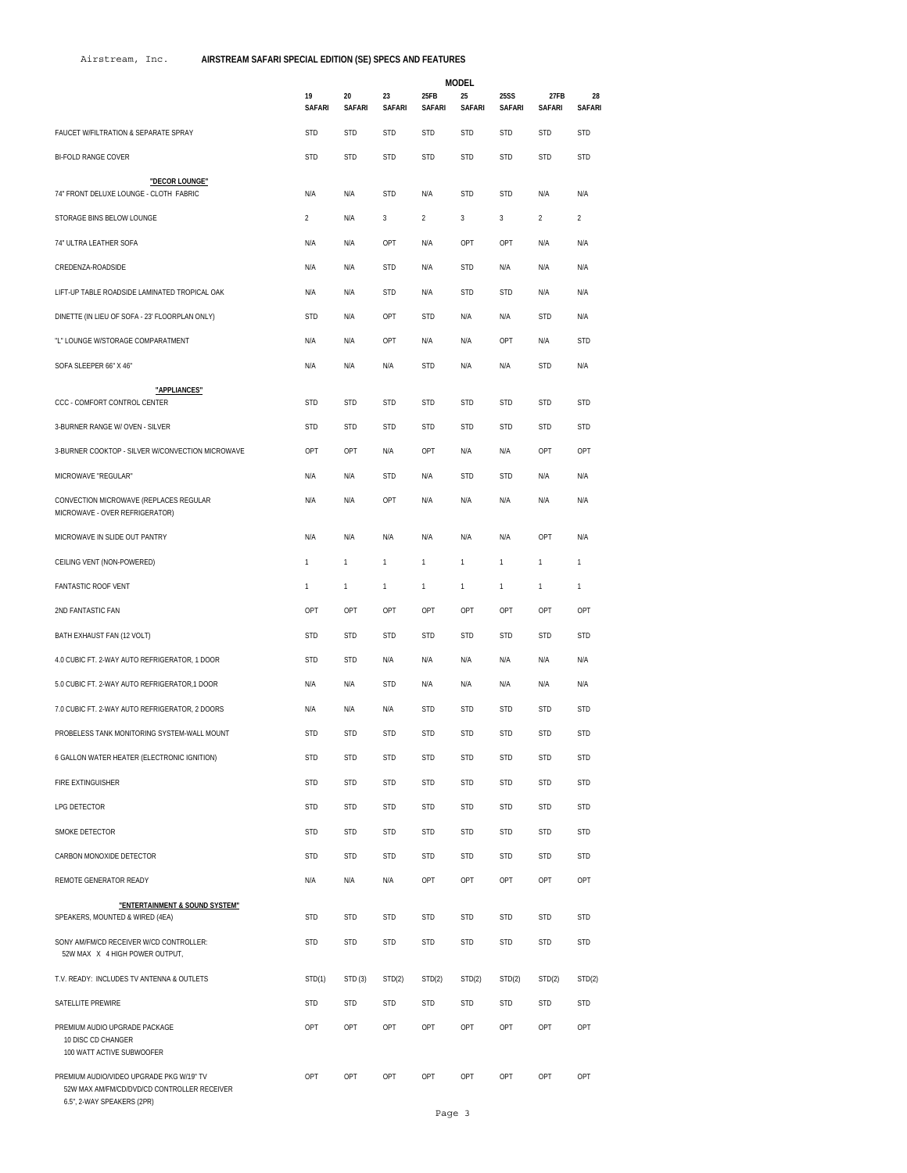## Airstream, Inc. **AIRSTREAM SAFARI SPECIAL EDITION (SE) SPECS AND FEATURES**

|                                                                                     |                                                  |                     |              |                     | <b>MODEL</b>          |                 |                       |                |                     |  |
|-------------------------------------------------------------------------------------|--------------------------------------------------|---------------------|--------------|---------------------|-----------------------|-----------------|-----------------------|----------------|---------------------|--|
|                                                                                     |                                                  | 19<br><b>SAFARI</b> | 20<br>SAFARI | 23<br><b>SAFARI</b> | 25FB<br><b>SAFARI</b> | 25<br>SAFARI    | <b>25SS</b><br>SAFARI | 27FB<br>SAFARI | 28<br><b>SAFARI</b> |  |
| FAUCET W/FILTRATION & SEPARATE SPRAY                                                |                                                  | <b>STD</b>          | <b>STD</b>   | <b>STD</b>          | <b>STD</b>            | <b>STD</b>      | <b>STD</b>            | <b>STD</b>     | <b>STD</b>          |  |
| <b>BI-FOLD RANGE COVER</b>                                                          |                                                  | <b>STD</b>          | <b>STD</b>   | <b>STD</b>          | <b>STD</b>            | <b>STD</b>      | <b>STD</b>            | <b>STD</b>     | <b>STD</b>          |  |
| 74" FRONT DELUXE LOUNGE - CLOTH FABRIC                                              | "DECOR LOUNGE"                                   |                     |              | <b>STD</b>          | N/A                   |                 | <b>STD</b>            | N/A            | N/A                 |  |
| STORAGE BINS BELOW LOUNGE                                                           |                                                  | N/A<br>2            | N/A<br>N/A   | 3                   | $\overline{2}$        | <b>STD</b><br>3 | 3                     | $\overline{2}$ | $\mathfrak{D}$      |  |
| 74" ULTRA LEATHER SOFA                                                              |                                                  | N/A                 | N/A          | OPT                 | N/A                   | OPT             | OPT                   | N/A            | N/A                 |  |
| CREDENZA-ROADSIDE                                                                   |                                                  | N/A                 | N/A          | <b>STD</b>          | N/A                   | <b>STD</b>      | N/A                   | N/A            | N/A                 |  |
| LIFT-UP TABLE ROADSIDE LAMINATED TROPICAL OAK                                       |                                                  |                     |              | <b>STD</b>          | N/A                   | <b>STD</b>      | <b>STD</b>            | N/A            | N/A                 |  |
|                                                                                     |                                                  | N/A<br><b>STD</b>   | N/A<br>N/A   | OPT                 | <b>STD</b>            | N/A             |                       | <b>STD</b>     | N/A                 |  |
| DINETTE (IN LIEU OF SOFA - 23' FLOORPLAN ONLY)<br>"L" LOUNGE W/STORAGE COMPARATMENT |                                                  |                     | N/A          | OPT                 | N/A                   | N/A             | N/A<br>OPT            | N/A            | <b>STD</b>          |  |
|                                                                                     |                                                  | N/A                 |              |                     |                       |                 |                       |                |                     |  |
| SOFA SLEEPER 66" X 46"                                                              |                                                  | N/A                 | N/A          | N/A                 | <b>STD</b>            | N/A             | N/A                   | <b>STD</b>     | N/A                 |  |
| CCC - COMFORT CONTROL CENTER                                                        | "APPLIANCES"                                     | <b>STD</b>          | <b>STD</b>   | <b>STD</b>          | <b>STD</b>            | <b>STD</b>      | <b>STD</b>            | <b>STD</b>     | <b>STD</b>          |  |
| 3-BURNER RANGE W/ OVEN - SILVER                                                     |                                                  | <b>STD</b>          | <b>STD</b>   | <b>STD</b>          | <b>STD</b>            | <b>STD</b>      | <b>STD</b>            | <b>STD</b>     | <b>STD</b>          |  |
|                                                                                     | 3-BURNER COOKTOP - SILVER W/CONVECTION MICROWAVE | OPT                 | OPT          | N/A                 | OPT                   | N/A             | N/A                   | OPT            | OPT                 |  |
| MICROWAVE "REGULAR"                                                                 |                                                  | N/A                 | N/A          | <b>STD</b>          | N/A                   | <b>STD</b>      | <b>STD</b>            | N/A            | N/A                 |  |
| CONVECTION MICROWAVE (REPLACES REGULAR<br>MICROWAVE - OVER REFRIGERATOR)            |                                                  | N/A                 | N/A          | OPT                 | N/A                   | N/A             | N/A                   | N/A            | N/A                 |  |
| MICROWAVE IN SLIDE OUT PANTRY                                                       |                                                  | N/A                 | N/A          | N/A                 | N/A                   | N/A             | N/A                   | OPT            | N/A                 |  |
| CEILING VENT (NON-POWERED)                                                          |                                                  | 1                   | 1            | 1                   | $\mathbf{1}$          | $\mathbf{1}$    | 1                     | 1              | 1                   |  |
| FANTASTIC ROOF VENT                                                                 |                                                  | $\mathbf{1}$        | 1            | $\mathbf{1}$        | 1                     | $\mathbf{1}$    | $\mathbf{1}$          | 1              | 1                   |  |
| 2ND FANTASTIC FAN                                                                   |                                                  | OPT                 | OPT          | OPT                 | OPT                   | OPT             | OPT                   | OPT            | OPT                 |  |
| BATH EXHAUST FAN (12 VOLT)                                                          |                                                  | <b>STD</b>          | <b>STD</b>   | <b>STD</b>          | <b>STD</b>            | <b>STD</b>      | <b>STD</b>            | <b>STD</b>     | <b>STD</b>          |  |
| 4.0 CUBIC FT. 2-WAY AUTO REFRIGERATOR, 1 DOOR                                       |                                                  | <b>STD</b>          | <b>STD</b>   | N/A                 | N/A                   | N/A             | N/A                   | N/A            | N/A                 |  |
| 5.0 CUBIC FT. 2-WAY AUTO REFRIGERATOR,1 DOOR                                        |                                                  | N/A                 | N/A          | <b>STD</b>          | N/A                   | N/A             | N/A                   | N/A            | N/A                 |  |
| 7.0 CUBIC FT. 2-WAY AUTO REFRIGERATOR, 2 DOORS                                      |                                                  | N/A                 | N/A          | N/A                 | <b>STD</b>            | <b>STD</b>      | <b>STD</b>            | <b>STD</b>     | <b>STD</b>          |  |
| PROBELESS TANK MONITORING SYSTEM-WALL MOUNT                                         |                                                  | <b>STD</b>          | <b>STD</b>   | <b>STD</b>          | <b>STD</b>            | <b>STD</b>      | <b>STD</b>            | <b>STD</b>     | <b>STD</b>          |  |
| 6 GALLON WATER HEATER (ELECTRONIC IGNITION)                                         |                                                  | <b>STD</b>          | <b>STD</b>   | <b>STD</b>          | <b>STD</b>            | <b>STD</b>      | <b>STD</b>            | <b>STD</b>     | <b>STD</b>          |  |
| <b>FIRE EXTINGUISHER</b>                                                            |                                                  | <b>STD</b>          | <b>STD</b>   | <b>STD</b>          | <b>STD</b>            | <b>STD</b>      | <b>STD</b>            | <b>STD</b>     | <b>STD</b>          |  |
| LPG DETECTOR                                                                        |                                                  | <b>STD</b>          | <b>STD</b>   | <b>STD</b>          | <b>STD</b>            | <b>STD</b>      | <b>STD</b>            | <b>STD</b>     | <b>STD</b>          |  |
| SMOKE DETECTOR                                                                      |                                                  | <b>STD</b>          | <b>STD</b>   | <b>STD</b>          | <b>STD</b>            | <b>STD</b>      | <b>STD</b>            | <b>STD</b>     | <b>STD</b>          |  |
| CARBON MONOXIDE DETECTOR                                                            |                                                  | <b>STD</b>          | <b>STD</b>   | <b>STD</b>          | <b>STD</b>            | <b>STD</b>      | <b>STD</b>            | <b>STD</b>     | <b>STD</b>          |  |
| REMOTE GENERATOR READY                                                              |                                                  | N/A                 | N/A          | N/A                 | OPT                   | OPT             | OPT                   | OPT            | OPT                 |  |
|                                                                                     | "ENTERTAINMENT & SOUND SYSTEM"                   |                     |              |                     |                       |                 |                       |                |                     |  |
| SPEAKERS, MOUNTED & WIRED (4EA)                                                     |                                                  | <b>STD</b>          | <b>STD</b>   | <b>STD</b>          | <b>STD</b>            | <b>STD</b>      | <b>STD</b>            | <b>STD</b>     | <b>STD</b>          |  |
| SONY AM/FM/CD RECEIVER W/CD CONTROLLER:<br>52W MAX X 4 HIGH POWER OUTPUT,           |                                                  | <b>STD</b>          | <b>STD</b>   | <b>STD</b>          | <b>STD</b>            | <b>STD</b>      | <b>STD</b>            | <b>STD</b>     | <b>STD</b>          |  |
| T.V. READY: INCLUDES TV ANTENNA & OUTLETS                                           |                                                  | STD(1)              | STD (3)      | STD(2)              | STD(2)                | STD(2)          | STD(2)                | STD(2)         | STD(2)              |  |
| SATELLITE PREWIRE                                                                   |                                                  | <b>STD</b>          | <b>STD</b>   | <b>STD</b>          | <b>STD</b>            | <b>STD</b>      | <b>STD</b>            | <b>STD</b>     | <b>STD</b>          |  |
| PREMIUM AUDIO UPGRADE PACKAGE<br>10 DISC CD CHANGER<br>100 WATT ACTIVE SUBWOOFER    |                                                  | OPT                 | OPT          | OPT                 | OPT                   | OPT             | OPT                   | OPT            | OPT                 |  |
| PREMIUM AUDIO/VIDEO UPGRADE PKG W/19" TV<br>6.5", 2-WAY SPEAKERS (2PR)              | 52W MAX AM/FM/CD/DVD/CD CONTROLLER RECEIVER      | OPT                 | OPT          | OPT                 | OPT                   | OPT             | OPT                   | OPT            | OPT                 |  |